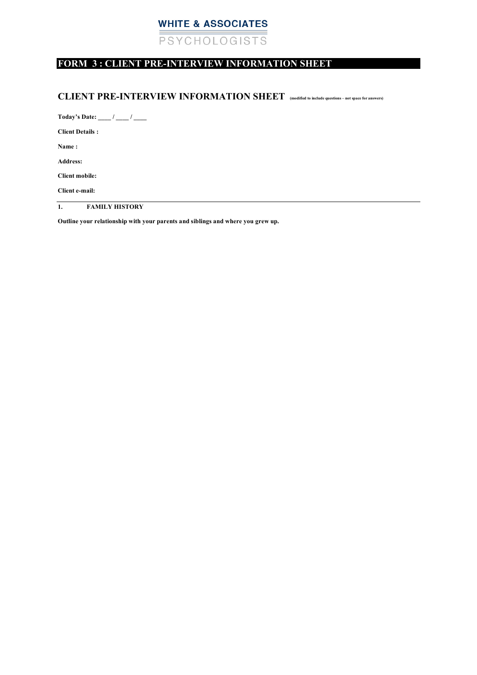# **WHITE & ASSOCIATES** PSYCHOLOGISTS

### **FORM 3 : CLIENT PRE-INTERVIEW INFORMATION SHEET**

### **CLIENT PRE-INTERVIEW INFORMATION SHEET (modified to include questions – not space for answers)**

**Today's Date: \_\_\_\_ / \_\_\_\_ / \_\_\_\_** 

**Client Details :** 

**Name :** 

**Address:** 

**Client mobile:** 

**Client e-mail:** 

**1. FAMILY HISTORY** 

**Outline your relationship with your parents and siblings and where you grew up.**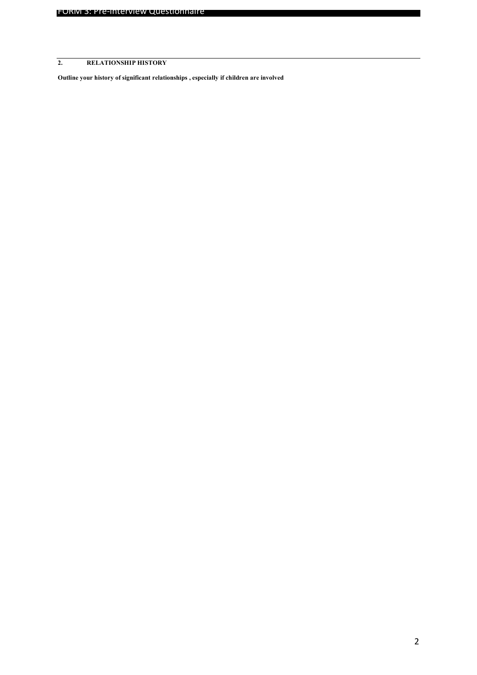## **2. RELATIONSHIP HISTORY**

**Outline your history of significant relationships , especially if children are involved**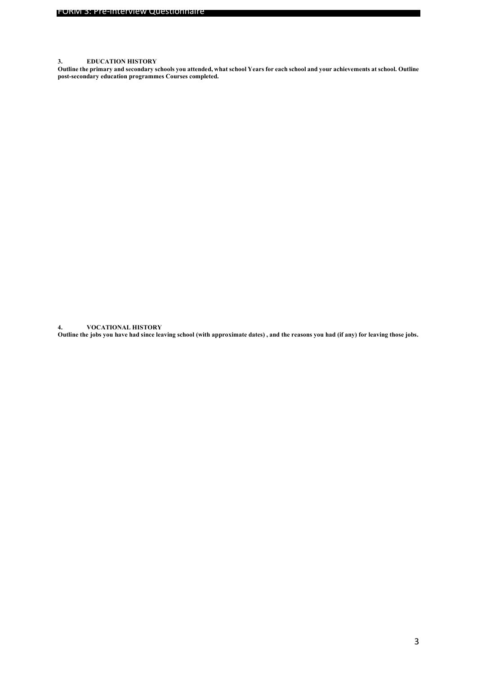#### **3. EDUCATION HISTORY**

**Outline the primary and secondary schools you attended, what school Years for each school and your achievements at school. Outline post-secondary education programmes Courses completed.**

**4. VOCATIONAL HISTORY**

**Outline the jobs you have had since leaving school (with approximate dates) , and the reasons you had (if any) for leaving those jobs.**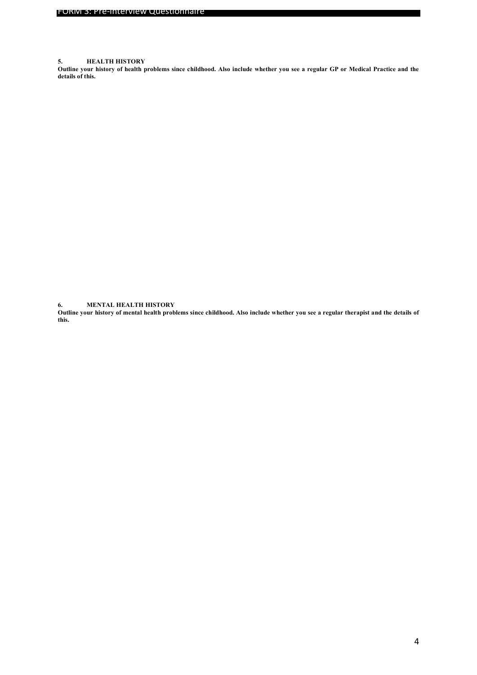#### **5. HEALTH HISTORY**

**Outline your history of health problems since childhood. Also include whether you see a regular GP or Medical Practice and the details of this.** 

**6. MENTAL HEALTH HISTORY**

**Outline your history of mental health problems since childhood. Also include whether you see a regular therapist and the details of this.**